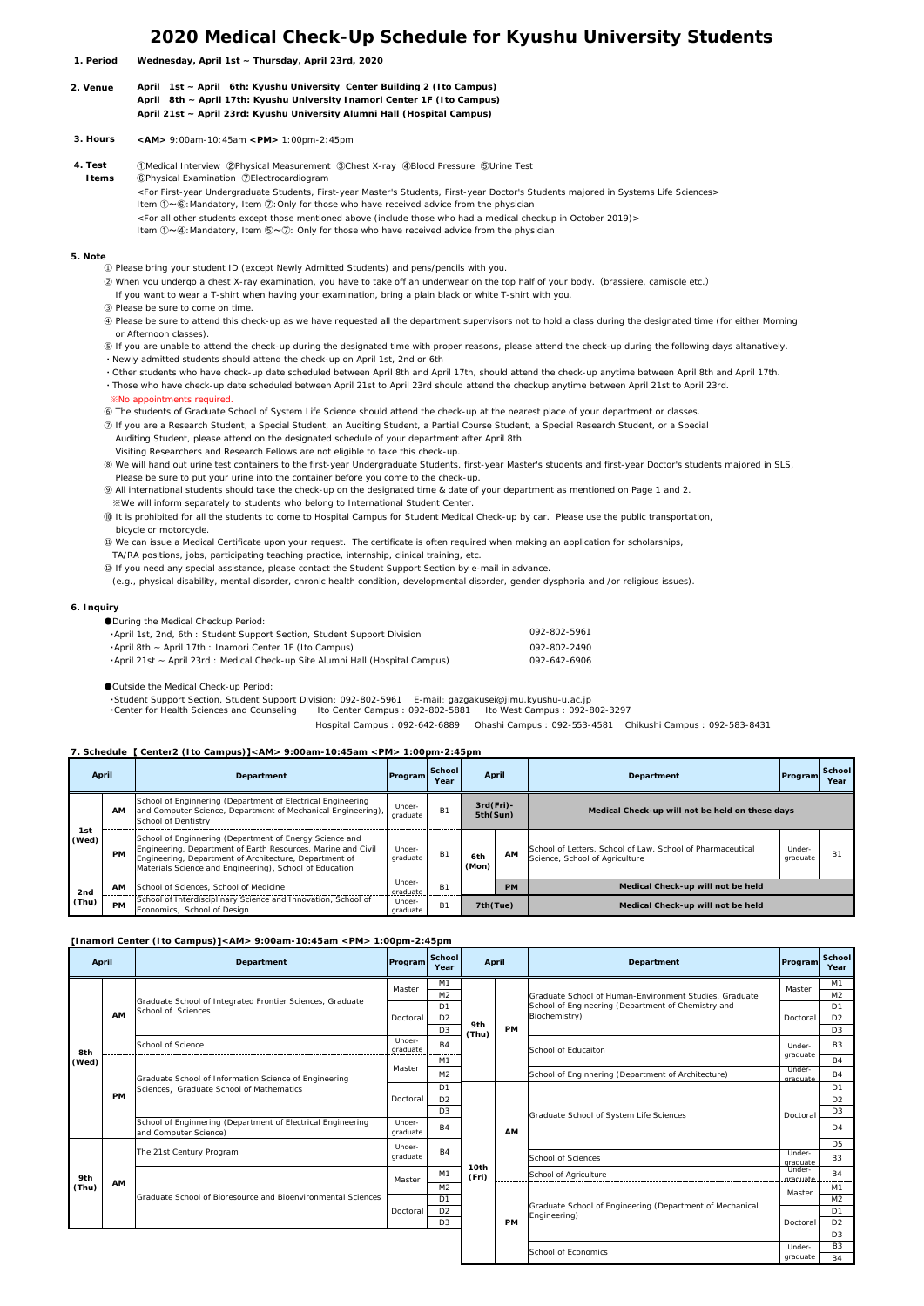# **2020 Medical Check-Up Schedule for Kyushu University Students**

- **Wednesday, April 1st ~ Thursday, April 23rd, 2020 1. Period**
- **April 1st ~ April 6th: Kyushu University Center Building 2 (Ito Campus) April 8th ~ April 17th: Kyushu University Inamori Center 1F (Ito Campus) April 21st ~ April 23rd: Kyushu University Alumni Hall (Hospital Campus) 2. Venue**
- **<AM>** 9:00am-10:45am **<PM>** 1:00pm-2:45pm  **3. Hours**
- ①Medical Interview ②Physical Measurement ③Chest X-ray ④Blood Pressure ⑤Urine Test ⑥Physical Examination ⑦Electrocardiogram  **4. Test Items**
	- <For First-year Undergraduate Students, First-year Master's Students, First-year Doctor's Students majored in Systems Life Sciences> Item ①~⑥:Mandatory, Item ⑦:Only for those who have received advice from the physician
		- <For all other students except those mentioned above (include those who had a medical checkup in October 2019)>
		- Item ①~④:Mandatory, Item ⑤~⑦: Only for those who have received advice from the physician
- **5. Note**
	- ① Please bring your student ID (except Newly Admitted Students) and pens/pencils with you.
	- ② When you undergo a chest X-ray examination, you have to take off an underwear on the top half of your body.(brassiere, camisole etc.)
	- If you want to wear a T-shirt when having your examination, bring a plain black or white T-shirt with you.
	- ③ Please be sure to come on time.
	- ④ Please be sure to attend this check-up as we have requested all the department supervisors not to hold a class during the designated time (for either Morning or Afternoon classes).
	- ⑤ If you are unable to attend the check-up during the designated time with proper reasons, please attend the check-up during the following days altanatively. ・Newly admitted students should attend the check-up on April 1st, 2nd or 6th
	- ・Other students who have check-up date scheduled between April 8th and April 17th, should attend the check-up anytime between April 8th and April 17th.
	- ・Those who have check-up date scheduled between April 21st to April 23rd should attend the checkup anytime between April 21st to April 23rd. ※No appointments required.
	- ⑥ The students of Graduate School of System Life Science should attend the check-up at the nearest place of your department or classes.
	- ⑦ If you are a Research Student, a Special Student, an Auditing Student, a Partial Course Student, a Special Research Student, or a Special
	- Auditing Student, please attend on the designated schedule of your department after April 8th. Visiting Researchers and Research Fellows are not eligible to take this check-up.
	- ⑧ We will hand out urine test containers to the first-year Undergraduate Students, first-year Master's students and first-year Doctor's students majored in SLS, Please be sure to put your urine into the container before you come to the check-up.
	- ⑨ All international students should take the check-up on the designated time & date of your department as mentioned on Page 1 and 2.
	- ※We will inform separately to students who belong to International Student Center.
	- ⑩ It is prohibited for all the students to come to Hospital Campus for Student Medical Check-up by car. Please use the public transportation, bicycle or motorcycle.
	- ⑪ We can issue a Medical Certificate upon your request. The certificate is often required when making an application for scholarships,
	- TA/RA positions, jobs, participating teaching practice, internship, clinical training, etc.
	- ⑫ If you need any special assistance, please contact the Student Support Section by e-mail in advance.
	- (e.g., physical disability, mental disorder, chronic health condition, developmental disorder, gender dysphoria and /or religious issues).

#### **6. Inquiry**

| ●During the Medical Checkup Period:                                            |              |
|--------------------------------------------------------------------------------|--------------|
| . April 1st, 2nd, 6th: Student Support Section, Student Support Division       | 092-802-5961 |
| •April 8th ~ April 17th : Inamori Center 1F (Ito Campus)                       | 092-802-2490 |
| •April 21st ~ April 23rd : Medical Check-up Site Alumni Hall (Hospital Campus) | 092-642-6906 |
|                                                                                |              |

●Outside the Medical Check-up Period:

・Student Support Section, Student Support Division: 092-802-5961 E-mail: gazgakusei@jimu.kyushu-u.ac.jp

 ・Center for Health Sciences and Counseling Ito Center Campus : 092-802-5881 Ito West Campus : 092-802-3297 Hospital Campus : 092-642-6889 Ohashi Campus : 092-553-4581 Chikushi Campus : 092-583-8431

### **7. Schedule** 【 **Center2 (Ito Campus)**】**<AM> 9:00am-10:45am <PM> 1:00pm-2:45pm**

| April        |           | Department                                                                                                                                                                                                                                   | Program            | School<br>Year | April                    |           | Department                                                                                   | Program            | School<br>Year |
|--------------|-----------|----------------------------------------------------------------------------------------------------------------------------------------------------------------------------------------------------------------------------------------------|--------------------|----------------|--------------------------|-----------|----------------------------------------------------------------------------------------------|--------------------|----------------|
|              | <b>AM</b> | School of Enginnering (Department of Electrical Engineering<br>and Computer Science, Department of Mechanical Engineering),<br>School of Dentistry                                                                                           | Under-<br>graduate | <b>B1</b>      | $3rd(Fri)$ -<br>5th(Sun) |           | Medical Check-up will not be held on these days                                              |                    |                |
| 1st<br>(Wed) | <b>PM</b> | School of Enginnering (Department of Energy Science and<br>Engineering, Department of Earth Resources, Marine and Civil<br>Engineering, Department of Architecture, Department of<br>Materials Science and Engineering), School of Education | Under-<br>graduate | <b>B1</b>      | 6th<br>(Mon)             | AM        | School of Letters, School of Law, School of Pharmaceutical<br>Science, School of Agriculture | Under-<br>graduate | в              |
| 2nd<br>(Thu) | <b>AM</b> | School of Sciences, School of Medicine                                                                                                                                                                                                       | Under-<br>graduate | B <sub>1</sub> |                          | <b>PM</b> | Medical Check-up will not be held                                                            |                    |                |
|              | <b>PM</b> | School of Interdisciplinary Science and Innovation, School of<br>Economics, School of Design                                                                                                                                                 | Under-<br>graduate | <b>B1</b>      | 7th(Tue)                 |           | Medical Check-up will not be held                                                            |                    |                |

### 【**Inamori Center (Ito Campus)**】**<AM> 9:00am-10:45am <PM> 1:00pm-2:45pm**

| April |           | Department                                                                                        | Program            | School<br>Year | April         |           | Department                                                               | Program            | School<br>Year |
|-------|-----------|---------------------------------------------------------------------------------------------------|--------------------|----------------|---------------|-----------|--------------------------------------------------------------------------|--------------------|----------------|
|       |           |                                                                                                   | Master             | M1             |               |           |                                                                          | Master             | M1             |
|       |           | Graduate School of Integrated Frontier Sciences, Graduate                                         |                    | M <sub>2</sub> |               |           | Graduate School of Human-Environment Studies, Graduate                   |                    | M <sub>2</sub> |
|       |           | School of Sciences                                                                                |                    | D <sub>1</sub> |               |           | School of Engineering (Department of Chemistry and                       |                    | D <sub>1</sub> |
|       | AM        |                                                                                                   | Doctoral           | D <sub>2</sub> | 9th<br>(Thu)  |           | Biochemistry)                                                            | Doctoral           | D <sub>2</sub> |
|       |           |                                                                                                   |                    | D <sub>3</sub> |               | PM        |                                                                          |                    | D <sub>3</sub> |
| 8th   |           | School of Science                                                                                 | Under-<br>graduate | <b>B4</b>      |               |           | School of Educaiton                                                      | Under-<br>graduate | <b>B3</b>      |
| (Wed) | <b>PM</b> | Graduate School of Information Science of Engineering<br>Sciences, Graduate School of Mathematics |                    | M1             |               |           |                                                                          |                    | <b>B4</b>      |
|       |           |                                                                                                   | Master             | M <sub>2</sub> |               |           | School of Enginnering (Department of Architecture)                       | Under-<br>graduate | <b>B4</b>      |
|       |           |                                                                                                   |                    | D1             |               |           | Graduate School of System Life Sciences                                  |                    | D <sub>1</sub> |
|       |           |                                                                                                   | Doctoral           | D <sub>2</sub> | 10th<br>(Fri) | AM        |                                                                          |                    | D <sub>2</sub> |
|       |           |                                                                                                   |                    | D <sub>3</sub> |               |           |                                                                          | Doctoral           | D <sub>3</sub> |
|       |           | School of Enginnering (Department of Electrical Engineering<br>and Computer Science)              | Under-<br>graduate | <b>B4</b>      |               |           |                                                                          |                    | $\Box$ 4       |
|       |           | The 21st Century Program                                                                          | Under-<br>graduate | <b>B4</b>      |               |           |                                                                          |                    | D <sub>5</sub> |
|       | <b>AM</b> |                                                                                                   |                    |                |               |           | School of Sciences                                                       | Under-<br>graduate | B <sub>3</sub> |
| 9th   |           | Graduate School of Bioresource and Bioenvironmental Sciences                                      |                    | M1             |               |           | School of Agriculture                                                    | Under-             | <b>B4</b>      |
| (Thu) |           |                                                                                                   | Master             | M <sub>2</sub> |               |           |                                                                          | graduate           | M1             |
|       |           |                                                                                                   | Doctoral           | D1             |               |           |                                                                          | Master             | M <sub>2</sub> |
|       |           |                                                                                                   |                    | D <sub>2</sub> |               |           | Graduate School of Engineering (Department of Mechanical<br>Engineering) |                    | D <sub>1</sub> |
|       |           |                                                                                                   |                    | D <sub>3</sub> |               | <b>PM</b> |                                                                          | Doctoral           | D <sub>2</sub> |
|       |           |                                                                                                   |                    |                |               |           |                                                                          |                    | D <sub>3</sub> |
|       |           |                                                                                                   |                    |                |               |           |                                                                          | Under-             | <b>B3</b>      |
|       |           |                                                                                                   |                    |                |               |           | School of Economics                                                      | graduate           | B4             |